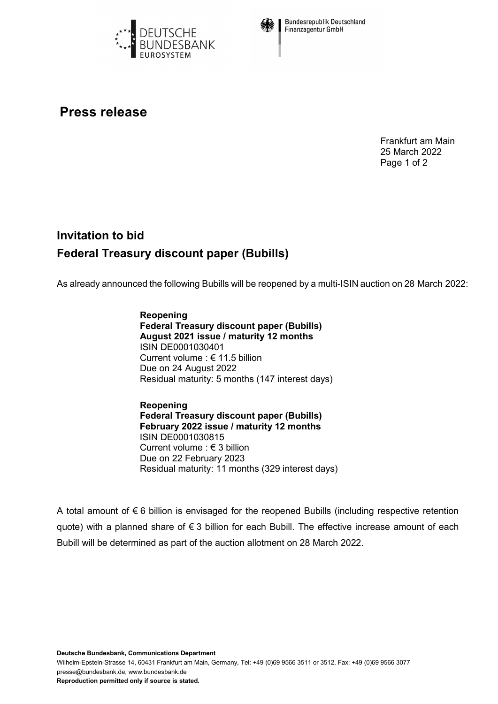



**Bundesrepublik Deutschland Finanzagentur GmbH** 

## **Press release**

Frankfurt am Main 25 March 2022 Page 1 of 2

## **Invitation to bid Federal Treasury discount paper (Bubills)**

As already announced the following Bubills will be reopened by a multi-ISIN auction on 28 March 2022:

**Reopening Federal Treasury discount paper (Bubills) August 2021 issue / maturity 12 months** ISIN DE0001030401 Current volume : € 11.5 billion Due on 24 August 2022 Residual maturity: 5 months (147 interest days)

**Reopening Federal Treasury discount paper (Bubills) February 2022 issue / maturity 12 months** ISIN DE0001030815 Current volume : € 3 billion Due on 22 February 2023 Residual maturity: 11 months (329 interest days)

A total amount of  $\epsilon$  6 billion is envisaged for the reopened Bubills (including respective retention quote) with a planned share of € 3 billion for each Bubill. The effective increase amount of each Bubill will be determined as part of the auction allotment on 28 March 2022.

Wilhelm-Epstein-Strasse 14, 60431 Frankfurt am Main, Germany, Tel: +49 (0)69 9566 3511 or 3512, Fax: +49 (0)69 9566 3077 presse@bundesbank.de, www.bundesbank.de